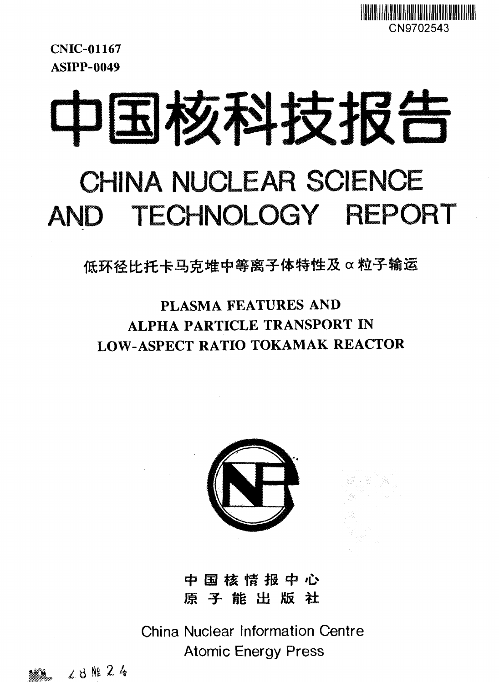

**CNIC-01167 ASIPP-0049** 

# 中国核科技报告 CHINA NUCLEAR SCIENCE AND TECHNOLOGY REPORT

低环径比托卡马克堆中等离子体特性及 α 粒子输运

## PLASMA FEATURES AND **ALPHA PARTICLE TRANSPORT IN** LOW-ASPECT RATIO TOKAMAK REACTOR



中国核情报中心 原子能出版社

China Nuclear Information Centre **Atomic Energy Press** 

281224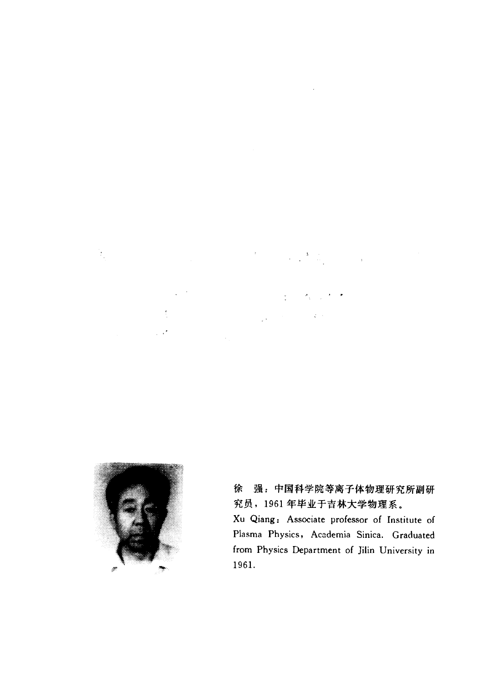



#### 徐 强: 中国科学院等离子体物理研究所副研 究员, 1961年毕业于吉林大学物理系。

Xu Qiang: Associate professor of Institute of Plasma Physics, Academia Sinica. Graduated from Physics Department of Jilin University in 1961.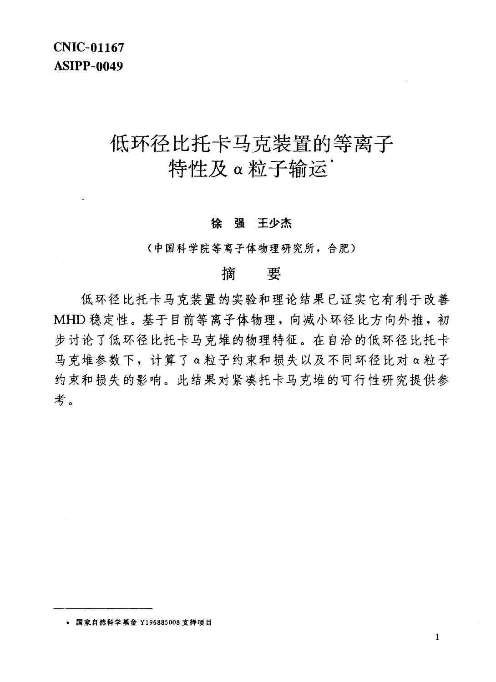## 低环径比托卡马克装置的等离子 特性及α粒子输运

#### 徐 强 王少杰

(中国科学院等离子体物理研究所,合肥)

#### 摘 要

低环径比托卡马克装置的实验和理论结果已证实它有利于改善 MHD 稳定性。基于目前等离子体物理,向减小环径比方向外推,初 步讨论了低环径比托卡马克堆的物理特征。在自洽的低环径比托卡 马克堆参数下, 计算了 α粒子约束和损失以及不同环径比对 α粒子 约束和损失的影响。此结果对紧凑托卡马克堆的可行性研究提供参 考。

· 国家自然科学基金 Y196885008 支持项目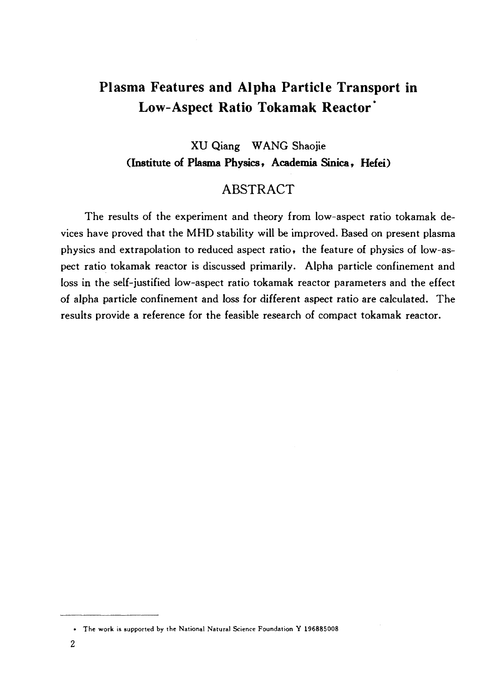### **Plasma Features and Alpha Particle Transport in** Low-Aspect Ratio Tokamak Reactor<sup>\*</sup>

XUQiang WANG Shaojie **(Institute of Plasma Physics, Academia Sinica, Hefei)**

#### **ABSTRACT**

The results of the experiment and theory from low-aspect ratio tokamak devices have proved that the MHD stability will be improved. Based on present plasma physics and extrapolation to reduced aspect ratio» the feature of physics of low-aspect ratio tokamak reactor is discussed primarily. Alpha particle confinement and loss in the self-justified low-aspect ratio tokamak reactor parameters and the effect of alpha particle confinement and loss for different aspect ratio are calculated. The results provide a reference for the feasible research of compact tokamak reactor.

<sup>•</sup> The work is supported by the National Natural Science Foundation Y 196885008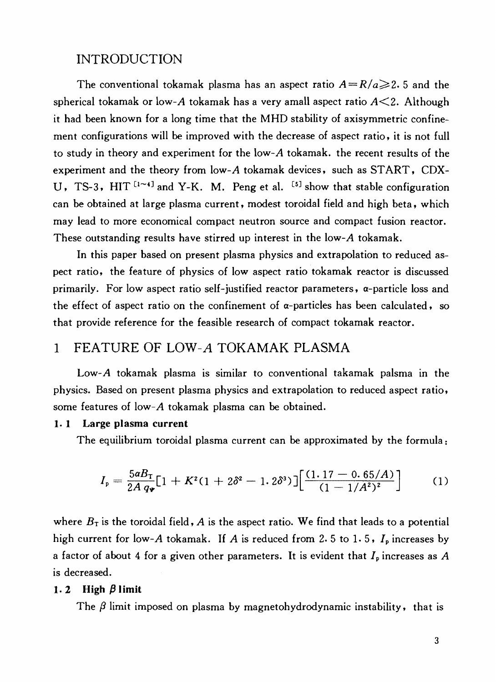#### INTRODUCTION

The conventional tokamak plasma has an aspect ratio  $A = R/a \geq 2.5$  and the spherical tokamak or low-A tokamak has a very amall aspect ratio  $A\leq 2$ . Although it had been known for a long time that the MHD stability of axisymmetric confinement configurations will be improved with the decrease of aspect ratio, it is not full to study in theory and experiment for the low- $A$  tokamak. the recent results of the experiment and the theory from low-*A* tokamak devices, such as START, CDX-U, TS-3, HIT  $[1-4]$  and Y-K. M. Peng et al.  $[5]$  show that stable configuration can be obtained at large plasma current, modest toroidal field and high beta, which may lead to more economical compact neutron source and compact fusion reactor. These outstanding results have stirred up interest in the low- $A$  tokamak.

In this paper based on present plasma physics and extrapolation to reduced aspect ratio, the feature of physics of low aspect ratio tokamak reactor is discussed primarily. For low aspect ratio self-justified reactor parameters,  $\alpha$ -particle loss and the effect of aspect ratio on the confinement of  $\alpha$ -particles has been calculated, so that provide reference for the feasible research of compact tokamak reactor.

#### 1 FEATURE OF LOW-A TOKAMAK PLASMA

Low-A tokamak plasma is similar to conventional takamak palsma in the physics. Based on present plasma physics and extrapolation to reduced aspect ratio, some features of *\ow-A* tokamak plasma can be obtained.

#### **1. 1 Large plasma current**

The equilibrium toroidal plasma current can be approximated by the formula:

$$
I_{\rm p} = \frac{5\alpha B_{\rm T}}{2A\,q_{\rm v}} \left[ 1 + K^2 (1 + 2\delta^2 - 1.2\delta^3) \right] \left[ \frac{(1.17 - 0.65/A)}{(1 - 1/A^2)^2} \right] \tag{1}
$$

where  $B_T$  is the toroidal field,  $A$  is the aspect ratio. We find that leads to a potential high current for low-A tokamak. If A is reduced from 2.5 to 1.5,  $I_p$  increases by a factor of about 4 for a given other parameters. It is evident that  $I_p$  increases as  $A$ is decreased.

#### 1.2 **High**  $\beta$  limit

The  $\beta$  limit imposed on plasma by magnetohydrodynamic instability, that is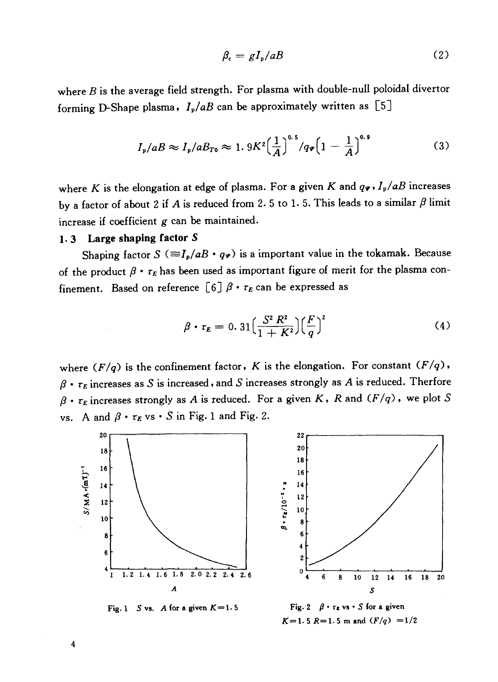$$
\beta_{\rm c} = g I_{\rm p}/aB \tag{2}
$$

where *B* is the average field strength. For plasma with double-null poloidal divertor forming D-Shape plasma,  $I_p/aB$  can be approximately written as [5]

$$
I_p/aB \approx I_p/aB_{T0} \approx 1.9K^2 \left(\frac{1}{A}\right)^{0.5} / q_{\Psi} \left(1 - \frac{1}{A}\right)^{0.9}
$$
 (3)

where *K* is the elongation at edge of plasma. For a given *K* and  $q_{\Psi}$ ,  $I_p/aB$  increases by a factor of about 2 if A is reduced from 2.5 to 1.5. This leads to a similar  $\beta$  limit increase if coefficient *g* can be maintained.

#### **1. 3 Large shaping factor 5**

Shaping factor  $S (=I_p/aB \cdot q_{\Psi})$  is a important value in the tokamak. Because of the product  $\beta \cdot \tau_E$  has been used as important figure of merit for the plasma confinement. Based on reference  $\begin{bmatrix} 6 \end{bmatrix} \beta \cdot \tau_E$  can be expressed as

$$
\beta \cdot \tau_E = 0.31 \Big( \frac{S^2 R^2}{1 + K^2} \Big) \Big( \frac{F}{q} \Big)^2 \tag{4}
$$

where *(F/q)* is the confinement factor, *K* is the elongation. For constant *(F/q)*,  $\beta \cdot \tau_E$  increases as S is increased, and S increases strongly as A is reduced. Therfore  $\beta \cdot \tau_E$  increases strongly as *A* is reduced. For a given *K*, *R* and  $(F/q)$ , we plot *S* vs. A and  $\beta \cdot \tau_E$  vs  $\cdot$  *S* in Fig. 1 and Fig. 2.



Fig. 1  $S$  vs. *A* for a given  $K=1.5$ 

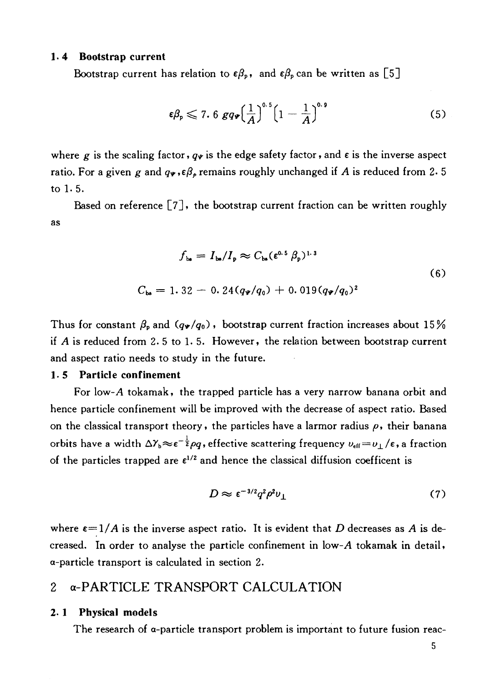#### **1. 4 Bootstrap current**

Bootstrap current has relation to  $\epsilon \beta_p$ , and  $\epsilon \beta_p$  can be written as [5]

$$
\epsilon \beta_{\rm p} \leqslant 7.6 \; g q_{\rm \Psi} \Big(\frac{1}{A}\Big)^{0.5} \Big(1 - \frac{1}{A}\Big)^{0.9} \tag{5}
$$

where  $g$  is the scaling factor,  $q_{\Psi}$  is the edge safety factor, and  $\varepsilon$  is the inverse aspect ratio. For a given g and  $q_{\Psi}$ ,  $\epsilon\beta$ , remains roughly unchanged if A is reduced from 2.5 to 1. 5.

Based on reference  $\lceil 7 \rceil$ , the bootstrap current fraction can be written roughly as

$$
f_{\rm b} = I_{\rm b} / I_{\rm p} \approx C_{\rm b} (\epsilon^{0.5} \beta_{\rm p})^{1.3}
$$
  
\n
$$
C_{\rm b} = 1.32 - 0.24 (q_{\Psi}/q_0) + 0.019 (q_{\Psi}/q_0)^2
$$
 (6)

Thus for constant  $\beta_{p}$  and  $(q_{\nu}/q_{0})$ , bootstrap current fraction increases about 15% if *A* is reduced from 2. 5 to 1. 5. However, the relation between bootstrap current and aspect ratio needs to study in the future.

#### **1- 5 Particle confinement**

For low-A tokamak, the trapped particle has a very narrow banana orbit and hence particle confinement will be improved with the decrease of aspect ratio. Based on the classical transport theory, the particles have a larmor radius  $\rho$ , their banana orbits have a width  $\Delta \gamma_b \approx \epsilon^{-\frac{1}{2}} \rho q$ , effective scattering frequency  $u_{\epsilon f} = v_{\perp}/\epsilon$ , a fraction of the particles trapped are  $\varepsilon^{1/2}$  and hence the classical diffusion coefficent is

$$
D \approx \epsilon^{-3/2} q^2 \rho^2 v_\perp \tag{7}
$$

where  $\varepsilon = 1/A$  is the inverse aspect ratio. It is evident that *D* decreases as *A* is decreased. In order to analyse the particle confinement in low- $A$  tokamak in detail, a-particle transport is calculated in section 2.

#### 2 a-PARTICLE TRANSPORT CALCULATION

#### **2- 1 Physical models**

The research of a-particle transport problem is important to future fusion reac-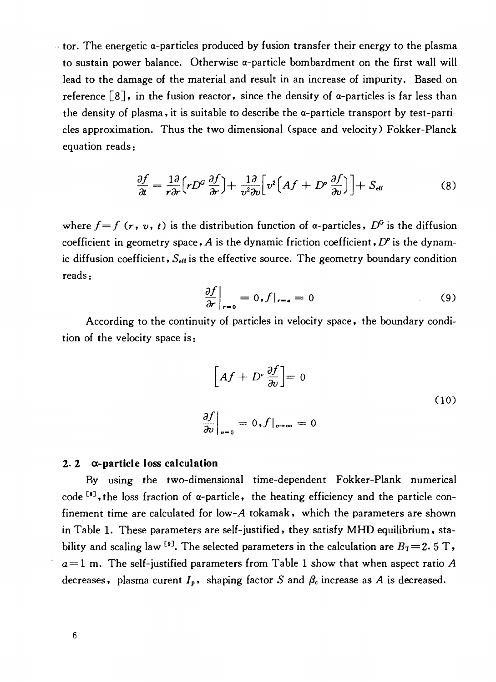$\sim$  tor. The energetic a-particles produced by fusion transfer their energy to the plasma to sustain power balance. Otherwise a-particle bombardment on the first wall will lead to the damage of the material and result in an increase of impurity. Based on reference  $\lceil 8 \rceil$ , in the fusion reactor, since the density of  $\alpha$ -particles is far less than the density of plasma, it is suitable to describe the  $\alpha$ -particle transport by test-particles approximation. Thus the two dimensional (space and velocity) Fokker-Planck equation reads:

$$
\frac{\partial f}{\partial t} = \frac{1}{r \partial r} \Big( r D^c \frac{\partial f}{\partial r} \Big) + \frac{1}{v^2 \partial v} \Big[ v^2 \Big( Af + D^v \frac{\partial f}{\partial v} \Big) \Big] + S_{\text{eff}} \tag{8}
$$

where  $f=f(r, v, t)$  is the distribution function of  $\alpha$ -particles,  $D^G$  is the diffusion coefficient in geometry space,  $A$  is the dynamic friction coefficient,  $D^{\mathsf{v}}$  is the dynamic diffusion coefficient,  $S_{\text{eff}}$  is the effective source. The geometry boundary condition reads:

$$
\left. \frac{\partial f}{\partial r} \right|_{r=0} = 0, f|_{r=a} = 0 \tag{9}
$$

According to the continuity of particles in velocity space, the boundary condition of the velocity space is:

$$
\[Af + D^{\nu}\frac{\partial f}{\partial \nu}\] = 0
$$
\n
$$
\frac{\partial f}{\partial \nu}\Big|_{\nu=0} = 0, f|_{\nu=\infty} = 0
$$
\n(10)

#### **2- 2 a-particle loss calculation**

By using the two-dimensional time-dependent Fokker-Plank numerical code<sup>[8]</sup>, the loss fraction of **a-particle**, the heating efficiency and the particle confinement time are calculated for low-A tokamak, which the parameters are shown in Table 1. These parameters are self-justified, they satisfy MHD equilibrium, stability and scaling law <sup>[9]</sup>. The selected parameters in the calculation are  $B_{\texttt{T}}\!=\!2.\,5\;\mathrm{T}$  , *a =* 1 m. The self-justified parameters from Table 1 show that when aspect ratio *A* decreases, plasma curent  $I_p$ , shaping factor S and  $\beta_c$  increase as A is decreased.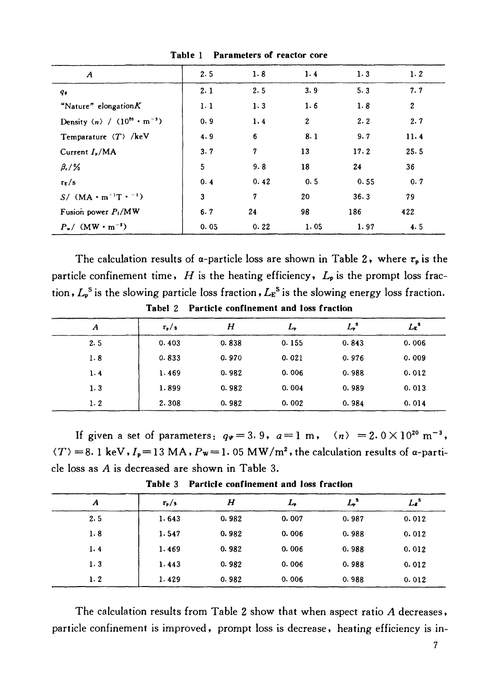| $\boldsymbol{A}$                        | 2.5                     | 1.8              | 1.4              | 1.3  | 1.2          |
|-----------------------------------------|-------------------------|------------------|------------------|------|--------------|
| $q_{\ast}$                              | 2.1                     | 2.5              | 3.9              | 5.3  | 7.7          |
| "Nature" elongationK                    | 1.1                     | 1.3              | 1.6              | 1.8  | $\mathbf{z}$ |
| Density $(n) / (10^{20} \cdot m^{-3})$  | 0.9                     | 1.4              | $\boldsymbol{2}$ | 2.2  | 2.7          |
| Temparature $\langle T \rangle$ /keV    | 4.9                     | $\boldsymbol{6}$ | 8.1              | 9.7  | 11.4         |
| Current $I_{\rm P}$ /MA                 | 3.7                     | $\boldsymbol{7}$ | 13               | 17.2 | 25.5         |
| $\beta$ ./%                             | 5                       | 9.8              | 18               | 24   | 36           |
| $\tau_{\rm E}/\rm s$                    | 0.4                     | 0.42             | 0.5              | 0.55 | 0.7          |
| $S/(MA \cdot m^{-1}T \cdot {}^{-1})$    | $\overline{\mathbf{3}}$ | $\boldsymbol{7}$ | 20               | 36.3 | 79           |
| Fusion power $P_i/MW$                   | 6.7                     | 24               | 98               | 186  | 422          |
| $P_{\nu}$ (MW $\cdot$ m <sup>-2</sup> ) | 0.05                    | 0.22             | 1.05             | 1.97 | 4.5          |

Table 1 Parameters of reactor core

The calculation results of  $\alpha$ -particle loss are shown in Table 2, where  $\tau_p$  is the particle confinement time, *H* is the heating efficiency,  $L_p$  is the prompt loss fraction,  ${L_{\sf p}}^{\rm s}$  is the slowing particle loss fraction,  ${L_{\sf E}}^{\rm s}$  is the slowing energy loss fraction. Tabel 2 Particle confinement and loss fraction

| A   | $\tau_p/s$ | $\boldsymbol{H}$ | $L_{\rm p}$ | $L_{\rm P}^{\rm s}$ | $L_{\rm E}$ <sup>5</sup> |
|-----|------------|------------------|-------------|---------------------|--------------------------|
| 2.5 | 0.403      | 0.838            | 0.155       | 0.843               | 0.006                    |
| 1.8 | 0.833      | 0.970            | 0.021       | 0.976               | 0.009                    |
| 1.4 | 1.469      | 0.982            | 0.006       | 0.988               | 0.012                    |
| 1.3 | 1.899      | 0.982            | 0.004       | 0.989               | 0.013                    |
| 1.2 | 2.308      | 0.982            | 0.002       | 0.984               | 0.014                    |

If given a set of parameters:  $q_{\psi} = 3.9$ ,  $a = 1$  m,  $\langle n \rangle = 2.0 \times 10^{20}$  m<sup>-3</sup>,  $\langle T \rangle$  = 8. 1 keV,  $I_p$  = 13 MA,  $P_\text{w}$  = 1. 05 MW/m<sup>2</sup>, the calculation results of a-parti-

| A   | $\frac{r_p}{s}$ | $\bm H$ | Lp    | $L_{\rm P}^3$ | $L_{\mathbf{z}}^{\mathbf{s}}$ |
|-----|-----------------|---------|-------|---------------|-------------------------------|
| 2.5 | 1.643           | 0.982   | 0.007 | 0.987         | 0.012                         |
| 1.8 | 1.547           | 0.982   | 0.006 | 0.988         | 0.012                         |
| 1.4 | 1.469           | 0.982   | 0.006 | 0.988         | 0.012                         |
| 1.3 | 1.443           | 0.982   | 0.006 | 0.988         | 0.012                         |
| 1.2 | 1.429           | 0.982   | 0.006 | 0.988         | 0.012                         |

Table 3 Particle confinement and loss fraction

cle loss as *A* is decreased are shown in Table 3.

The calculation results from Table 2 show that when aspect ratio *A* decreases, particle confinement is improved, prompt loss is decrease, heating efficiency is in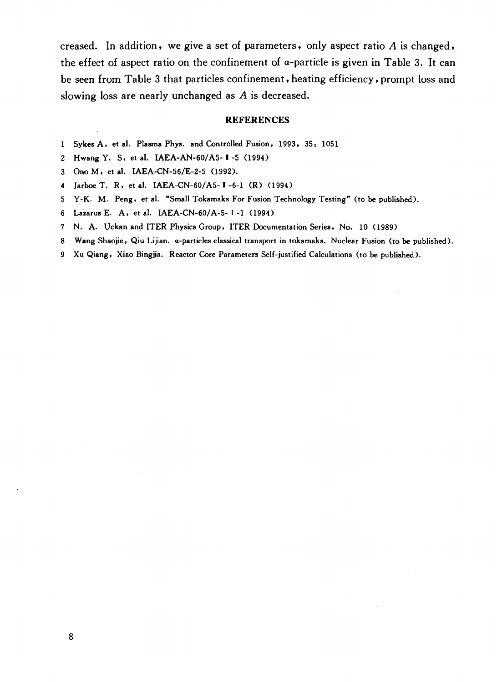creased. In addition, we give a set of parameters, only aspect ratio *A* is changed, the effect of aspect ratio on the confinement of  $\alpha$ -particle is given in Table 3. It can be seen from Table 3 that particles confinement, heating efficiency, prompt loss and slowing loss are nearly unchanged as *A* is decreased.

#### **REFERENCES**

- 1 SykesA, et al. Plasma Phys. and Controlled Fusion, 1993, 35: 1051
- 2 Hwang Y. S, et al. IAEA-AN-6O/A5- I -5 (1994)
- 3 OnoM, et al. IAEA-CN-56/E-2-5 (1992).
- 4 JarboeT. R, et al. IAEA-CN-60/A5- I -6-1 (R) (1994)
- 5 Y-K. M. Peng, et al. "Small Tokamaks For Fusion Technology Testing" (to be published).
- 6 Lazarus E. A, et al. 1AEA-CN-60/A-5- I -1 (1994)
- 7 N. A. Uckan and ITER Physics Group, ITER Documentation Series, No. 10 (1989)
- 8 Wang Shaojie, Qiu Lijian. a-particles classical transport in tokamaks. Nuclear Fusion (to be published).
- 9 Xu Qiang, Xiao Bingjia. Reactor Core Parameters Self-justified Calculations (to be published).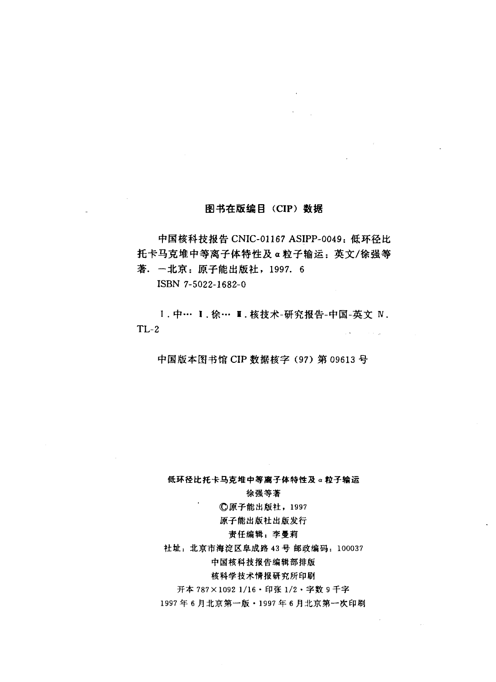#### 图书在版编目 (CIP) 数据

中国核科技报告 CNIC-01167 ASIPP-0049: 低环径比 托卡马克堆中等离子体特性及 a 粒子输运: 英文/徐强等 著. 一北京: 原子能出版社, 1997. 6

ISBN 7-5022-1682-0

I. 中… I. 徐… ■. 核技术-研究报告-中国-英文 N.  $TL-2$ **Contractor** 

中国版本图书馆 CIP 数据核字 (97) 第 09613 号

低环径比托卡马克堆中等离子体特性及 α 粒子输运

#### 徐强等著

C原子能出版社, 1997

原子能出版社出版发行

#### 责任编辑:李曼莉

社址: 北京市海淀区阜成路 43号 邮政编码: 100037

#### 中国核科技报告编辑部排版

#### 核科学技术情报研究所印刷

开本 787×1092 1/16 · 印张 1/2 · 字数 9 千字

1997年6月北京第一版·1997年6月北京第一次印刷